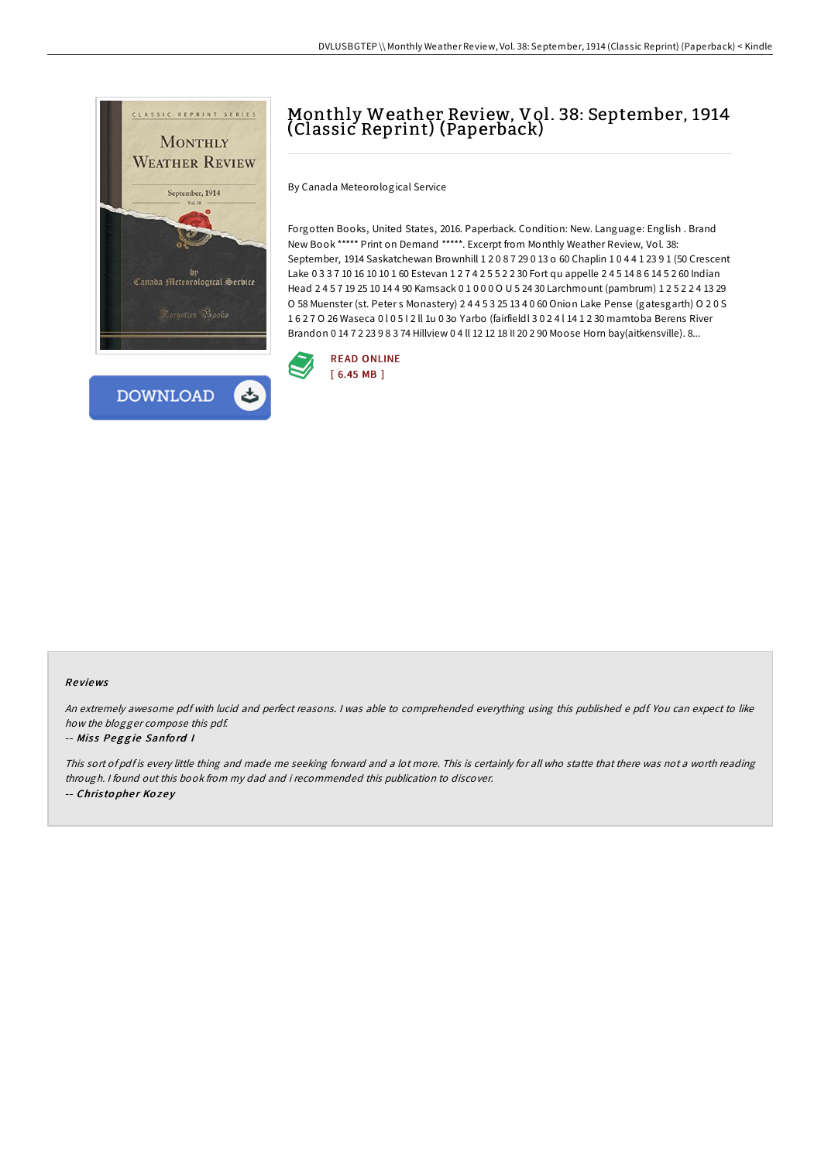



# Monthly Weather Review, Vol. 38: September, 1914 (Classic Reprint) (Paperback)

By Canada Meteorological Service

Forgotten Books, United States, 2016. Paperback. Condition: New. Language: English . Brand New Book \*\*\*\*\* Print on Demand \*\*\*\*\*. Excerpt from Monthly Weather Review, Vol. 38: September, 1914 Saskatchewan Brownhill 1 2 0 8 7 29 0 13 o 60 Chaplin 1 0 4 4 1 23 9 1 (50 Crescent Lake 0 3 3 7 10 16 10 10 1 60 Estevan 1 2 7 4 2 5 5 2 2 30 Fort qu appelle 2 4 5 14 8 6 14 5 2 60 Indian Head 2 4 5 7 19 25 10 14 4 90 Kamsack 0 1 0 0 0 O U 5 24 30 Larchmount (pambrum) 1 2 5 2 2 4 13 29 O 58 Muenster (st. Peter s Monastery) 2 4 4 5 3 25 13 4 0 60 Onion Lake Pense (gatesgarth) O 2 0 S 1 6 2 7 O 26 Waseca 0 l 0 5 I 2 ll 1u 0 3o Yarbo (fairfieldl 3 0 2 4 l 14 1 2 30 mamtoba Berens River Brandon 0 14 7 2 23 9 8 3 74 Hillview 0 4 ll 12 12 18 II 20 2 90 Moose Horn bay(aitkensville). 8...



#### Re views

An extremely awesome pdf with lucid and perfect reasons. <sup>I</sup> was able to comprehended everything using this published <sup>e</sup> pdf. You can expect to like how the blogger compose this pdf.

#### -- Miss Peggie Sanford I

This sort of pdf is every little thing and made me seeking forward and <sup>a</sup> lot more. This is certainly for all who statte that there was not <sup>a</sup> worth reading through. <sup>I</sup> found out this book from my dad and i recommended this publication to discover. -- Christopher Kozey